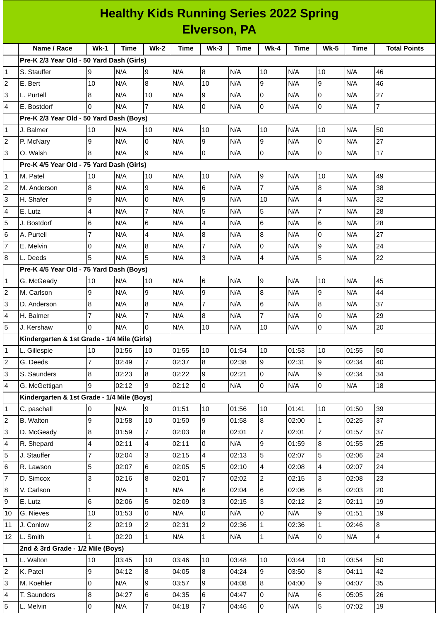|                | <b>Healthy Kids Running Series 2022 Spring</b><br><b>Elverson, PA</b> |                |             |                |       |                |             |                 |       |                |             |                     |
|----------------|-----------------------------------------------------------------------|----------------|-------------|----------------|-------|----------------|-------------|-----------------|-------|----------------|-------------|---------------------|
|                |                                                                       |                |             |                |       |                |             |                 |       |                |             |                     |
|                | Name / Race                                                           | $Wk-1$         | <b>Time</b> | $Wk-2$         | Time  | $Wk-3$         | <b>Time</b> | <b>Wk-4</b>     | Time  | <b>Wk-5</b>    | <b>Time</b> | <b>Total Points</b> |
|                | Pre-K 2/3 Year Old - 50 Yard Dash (Girls)                             |                |             |                |       |                |             |                 |       |                |             |                     |
| 1              | S. Stauffer                                                           | 9              | N/A         | 9              | N/A   | 8              | N/A         | 10              | N/A   | 10             | N/A         | 46                  |
| 2              | E. Bert                                                               | 10             | N/A         | 8              | N/A   | 10             | N/A         | 9               | N/A   | $\overline{9}$ | N/A         | 46                  |
| 3              | L. Purtell                                                            | 8              | N/A         | 10             | N/A   | 9              | N/A         | 0               | N/A   | $\overline{0}$ | N/A         | 27                  |
| 4              | E. Bostdorf                                                           | $\Omega$       | N/A         | $\overline{7}$ | N/A   | 0              | N/A         | $\overline{0}$  | N/A   | $\overline{0}$ | N/A         | $\overline{7}$      |
|                | Pre-K 2/3 Year Old - 50 Yard Dash (Boys)                              |                |             |                |       |                |             |                 |       |                |             |                     |
| 1              | J. Balmer                                                             | 10             | N/A         | 10             | N/A   | 10             | N/A         | 10              | N/A   | 10             | N/A         | 50                  |
| 2              | P. McNary                                                             | 9              | N/A         | $\Omega$       | N/A   | 9              | N/A         | 9               | N/A   | $\mathbf 0$    | N/A         | 27                  |
| 3              | O. Walsh                                                              | 8              | N/A         | 9              | N/A   | 0              | N/A         | $\overline{0}$  | N/A   | l0             | N/A         | 17                  |
|                | Pre-K 4/5 Year Old - 75 Yard Dash (Girls)                             |                |             |                |       |                |             |                 |       |                |             |                     |
| 1              | M. Patel                                                              | 10             | N/A         | 10             | N/A   | 10             | N/A         | 9               | N/A   | 10             | N/A         | 49                  |
| 2              | M. Anderson                                                           | 8              | N/A         | 9              | N/A   | 6              | N/A         | $\overline{7}$  | N/A   | 8              | N/A         | 38                  |
| 3              | H. Shafer                                                             | 9              | N/A         | 0              | N/A   | 9              | N/A         | 10              | N/A   | 4              | N/A         | 32                  |
| 4              | E. Lutz                                                               | 4              | N/A         | $\overline{7}$ | N/A   | 5              | N/A         | 5               | N/A   | $\overline{7}$ | N/A         | 28                  |
| 5              | J. Bostdorf                                                           | 6              | N/A         | 6              | N/A   | 4              | N/A         | 6               | N/A   | 6              | N/A         | 28                  |
| 6              | A. Purtell                                                            | $\overline{7}$ | N/A         | $\overline{4}$ | N/A   | 8              | N/A         | 8               | N/A   | $\mathsf{O}$   | N/A         | 27                  |
| $\overline{7}$ | E. Melvin                                                             | 0              | N/A         | 8              | N/A   | $\overline{7}$ | N/A         | 0               | N/A   | 9              | N/A         | 24                  |
| 8              | L. Deeds                                                              | 5              | N/A         | 5              | N/A   | 3              | N/A         | $\overline{4}$  | N/A   | 5              | N/A         | 22                  |
|                | Pre-K 4/5 Year Old - 75 Yard Dash (Boys)                              |                |             |                |       |                |             |                 |       |                |             |                     |
| 1              | G. McGeady                                                            | 10             | N/A         | 10             | N/A   | 6              | N/A         | 9               | N/A   | 10             | N/A         | 45                  |
| 2              | M. Carlson                                                            | 9              | N/A         | 9              | N/A   | 9              | N/A         | 8               | N/A   | 9              | N/A         | 44                  |
| 3              | D. Anderson                                                           | 8              | N/A         | 8              | N/A   | $\overline{7}$ | N/A         | $6\phantom{.}6$ | N/A   | 8              | N/A         | 37                  |
| 4              | H. Balmer                                                             | $\overline{7}$ | N/A         | 7              | N/A   | 8              | N/A         | 7               | N/A   | 0              | N/A         | 29                  |
| 5              | J. Kershaw                                                            | l0             | N/A         | 0              | N/A   | 10             | N/A         | 10              | N/A   | $\overline{0}$ | N/A         | 20                  |
|                | Kindergarten & 1st Grade - 1/4 Mile (Girls)                           |                |             |                |       |                |             |                 |       |                |             |                     |
| 1              | L. Gillespie                                                          | 10             | 01:56       | 10             | 01:55 | 10             | 01:54       | 10              | 01:53 | 10             | 01:55       | 50                  |
| 2              | G. Deeds                                                              | $\overline{7}$ | 02:49       | $\overline{7}$ | 02:37 | $\bf{8}$       | 02:38       | $\overline{9}$  | 02:31 | $\overline{9}$ | 02:34       | 40                  |
| 3              | S. Saunders                                                           | 8              | 02:23       | 8              | 02:22 | 9              | 02:21       | $\overline{0}$  | N/A   | 9              | 02:34       | 34                  |
| 4              | G. McGettigan                                                         | 9              | 02:12       | 9              | 02:12 | 0              | N/A         | $\overline{0}$  | N/A   | $\mathsf 0$    | N/A         | 18                  |
|                | Kindergarten & 1st Grade - 1/4 Mile (Boys)                            |                |             |                |       |                |             |                 |       |                |             |                     |
| 1              | C. paschall                                                           | 0              | N/A         | 9              | 01:51 | $10\,$         | 01:56       | 10              | 01:41 | 10             | 01:50       | 39                  |
| $\overline{c}$ | <b>B.</b> Walton                                                      | 9              | 01:58       | 10             | 01:50 | 9              | 01:58       | $\overline{8}$  | 02:00 | $\mathbf{1}$   | 02:25       | 37                  |
| 3              | D. McGeady                                                            | 8              | 01:59       | $\overline{7}$ | 02:03 | 8              | 02:01       | 7               | 02:01 | $\overline{7}$ | 01:57       | 37                  |
| 4              | R. Shepard                                                            | 4              | 02:11       | 4              | 02:11 | 0              | N/A         | 9               | 01:59 | $\bf{8}$       | 01:55       | 25                  |
| 5              | J. Stauffer                                                           | $\overline{7}$ | 02:04       | 3              | 02:15 | 4              | 02:13       | 5               | 02:07 | 5              | 02:06       | 24                  |
| 6              | R. Lawson                                                             | 5              | 02:07       | 6              | 02:05 | 5              | 02:10       | 4               | 02:08 | 4              | 02:07       | 24                  |
| $\overline{7}$ | D. Simcox                                                             | 3              | 02:16       | 8              | 02:01 | $\overline{7}$ | 02:02       | $\overline{2}$  | 02:15 | 3              | 02:08       | 23                  |
| 8              | V. Carlson                                                            | $\mathbf 1$    | N/A         | $\mathbf{1}$   | N/A   | 6              | 02:04       | $6\phantom{a}$  | 02:06 | 6              | 02:03       | 20                  |
| 9              | E. Lutz                                                               | 6              | 02:06       | 5              | 02:09 | 3              | 02:15       | $\overline{3}$  | 02:12 | $\overline{2}$ | 02:11       | 19                  |
| 10             | G. Nieves                                                             | 10             | 01:53       | 0              | N/A   | 0              | N/A         | $\mathsf{O}$    | N/A   | 9              | 01:51       | 19                  |
| 11             | J. Conlow                                                             | $\overline{c}$ | 02:19       | $\overline{c}$ | 02:31 | $\overline{c}$ | 02:36       | $\mathbf{1}$    | 02:36 | $\mathbf{1}$   | 02:46       | $\bf{8}$            |
| 12             | L. Smith                                                              | $\overline{1}$ | 02:20       | $\mathbf{1}$   | N/A   | $\mathbf 1$    | N/A         | $\mathbf{1}$    | N/A   | $\overline{0}$ | N/A         | $\overline{4}$      |
|                | 2nd & 3rd Grade - 1/2 Mile (Boys)                                     |                |             |                |       |                |             |                 |       |                |             |                     |
| 1              | L. Walton                                                             | 10             | 03:45       | 10             | 03:46 | 10             | 03:48       | 10              | 03:44 | 10             | 03:54       | 50                  |
| 2              | K. Patel                                                              | 9              | 04:12       | 8              | 04:05 | 8              | 04:24       | 9               | 03:50 | $\bf{8}$       | 04:11       | 42                  |
| 3              | M. Koehler                                                            | 0              | N/A         | 9              | 03:57 | 9              | 04:08       | $\bf{8}$        | 04:00 | 9              | 04:07       | 35                  |
| 4              | T. Saunders                                                           | $8\,$          | 04:27       | 6              | 04:35 | 6              | 04:47       | 0               | N/A   | $6\phantom{.}$ | 05:05       | 26                  |
|                |                                                                       |                |             |                |       |                |             |                 |       |                |             |                     |

L. Melvin 0 N/A 7 04:18 7 04:46 0 N/A 5 07:02 19